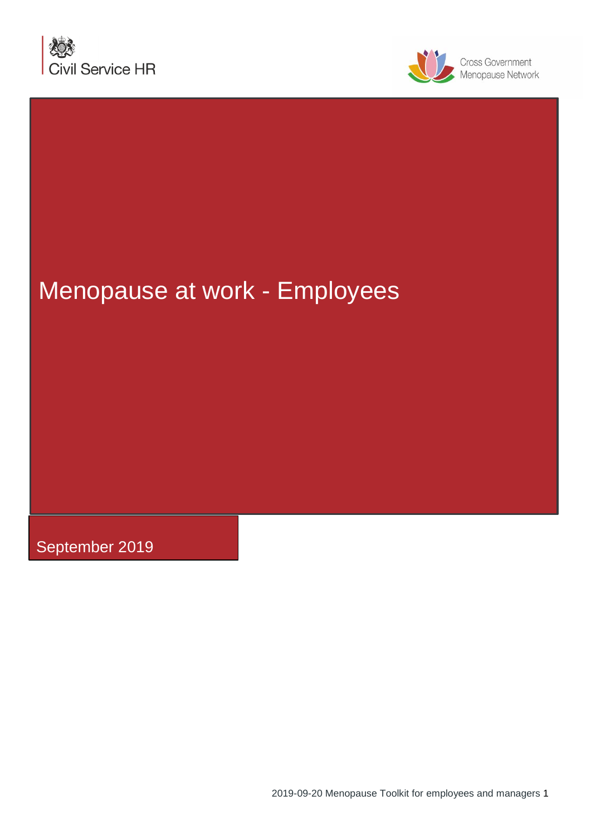



# Menopause at work - Employees

September 2019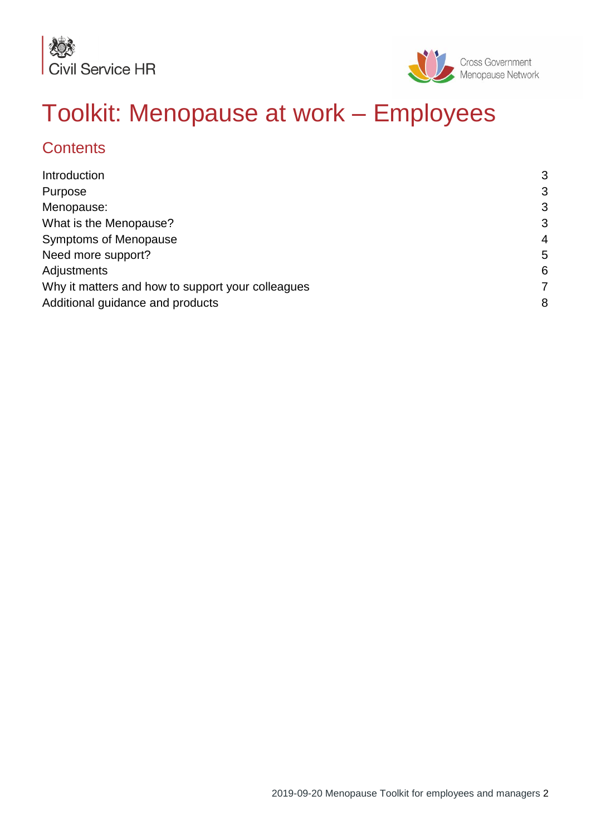



# Toolkit: Menopause at work – Employees

# **Contents**

<span id="page-1-0"></span>

| Introduction                                      | 3              |
|---------------------------------------------------|----------------|
| Purpose                                           | 3              |
| Menopause:                                        | 3              |
| What is the Menopause?                            | 3              |
| <b>Symptoms of Menopause</b>                      | $\overline{4}$ |
| Need more support?                                | 5              |
| Adjustments                                       | 6              |
| Why it matters and how to support your colleagues | 7              |
| Additional guidance and products                  | 8              |
|                                                   |                |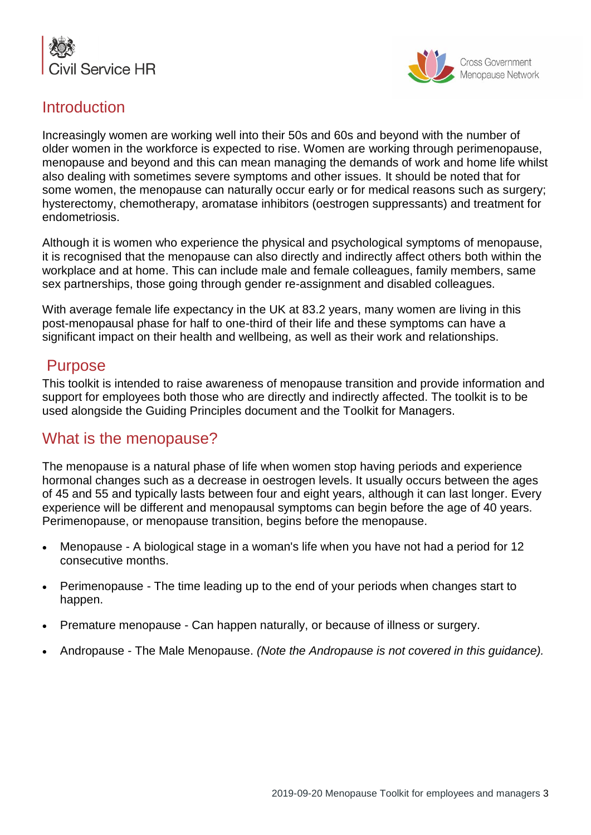



## **Introduction**

Increasingly women are working well into their 50s and 60s and beyond with the number of older women in the workforce is expected to rise. Women are working through perimenopause, menopause and beyond and this can mean managing the demands of work and home life whilst also dealing with sometimes severe symptoms and other issues. It should be noted that for some women, the menopause can naturally occur early or for medical reasons such as surgery; hysterectomy, chemotherapy, aromatase inhibitors (oestrogen suppressants) and treatment for endometriosis.

Although it is women who experience the physical and psychological symptoms of menopause, it is recognised that the menopause can also directly and indirectly affect others both within the workplace and at home. This can include male and female colleagues, family members, same sex partnerships, those going through gender re-assignment and disabled colleagues.

With average female life expectancy in the UK at 83.2 years, many women are living in this post-menopausal phase for half to one-third of their life and these symptoms can have a significant impact on their health and wellbeing, as well as their work and relationships.

## Purpose

This toolkit is intended to raise awareness of menopause transition and provide information and support for employees both those who are directly and indirectly affected. The toolkit is to be used alongside the Guiding Principles document and the Toolkit for Managers.

## What is the menopause?

The menopause is a natural phase of life when women stop having periods and experience hormonal changes such as a decrease in oestrogen levels. It usually occurs between the ages of 45 and 55 and typically lasts between four and eight years, although it can last longer. Every experience will be different and menopausal symptoms can begin before the age of 40 years. Perimenopause, or menopause transition, begins before the menopause.

- Menopause A biological stage in a woman's life when you have not had a period for 12 consecutive months.
- Perimenopause The time leading up to the end of your periods when changes start to happen.
- Premature menopause Can happen naturally, or because of illness or surgery.
- Andropause The Male Menopause. *(Note the Andropause is not covered in this guidance).*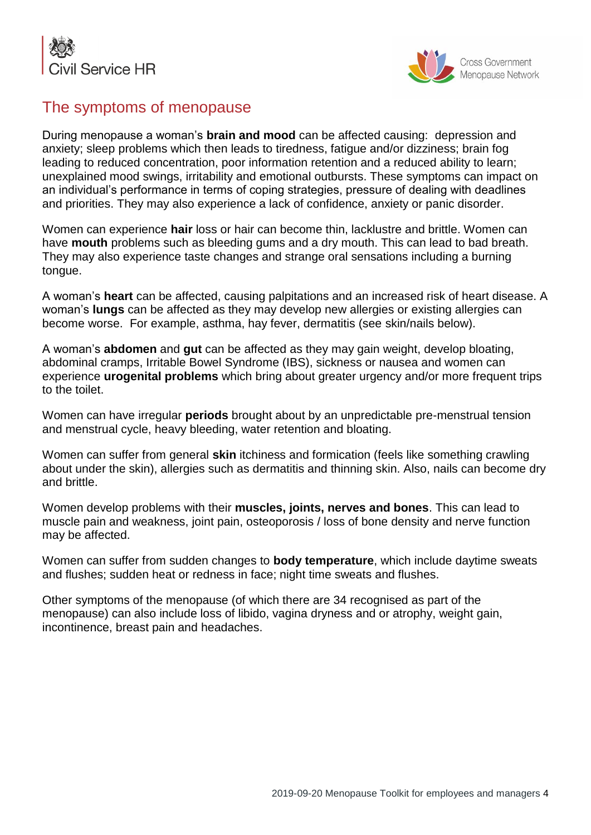



# The symptoms of menopause

During menopause a woman's **brain and mood** can be affected causing: depression and anxiety; sleep problems which then leads to tiredness, fatigue and/or dizziness; brain fog leading to reduced concentration, poor information retention and a reduced ability to learn; unexplained mood swings, irritability and emotional outbursts. These symptoms can impact on an individual's performance in terms of coping strategies, pressure of dealing with deadlines and priorities. They may also experience a lack of confidence, anxiety or panic disorder.

Women can experience **hair** loss or hair can become thin, lacklustre and brittle. Women can have **mouth** problems such as bleeding gums and a dry mouth. This can lead to bad breath. They may also experience taste changes and strange oral sensations including a burning tongue.

A woman's **heart** can be affected, causing palpitations and an increased risk of heart disease. A woman's **lungs** can be affected as they may develop new allergies or existing allergies can become worse. For example, asthma, hay fever, dermatitis (see skin/nails below).

A woman's **abdomen** and **gut** can be affected as they may gain weight, develop bloating, abdominal cramps, Irritable Bowel Syndrome (IBS), sickness or nausea and women can experience **urogenital problems** which bring about greater urgency and/or more frequent trips to the toilet.

Women can have irregular **periods** brought about by an unpredictable pre-menstrual tension and menstrual cycle, heavy bleeding, water retention and bloating.

Women can suffer from general **skin** itchiness and formication (feels like something crawling about under the skin), allergies such as dermatitis and thinning skin. Also, nails can become dry and brittle.

Women develop problems with their **muscles, joints, nerves and bones**. This can lead to muscle pain and weakness, joint pain, osteoporosis / loss of bone density and nerve function may be affected.

Women can suffer from sudden changes to **body temperature**, which include daytime sweats and flushes; sudden heat or redness in face; night time sweats and flushes.

Other symptoms of the menopause (of which there are 34 recognised as part of the menopause) can also include loss of libido, vagina dryness and or atrophy, weight gain, incontinence, breast pain and headaches.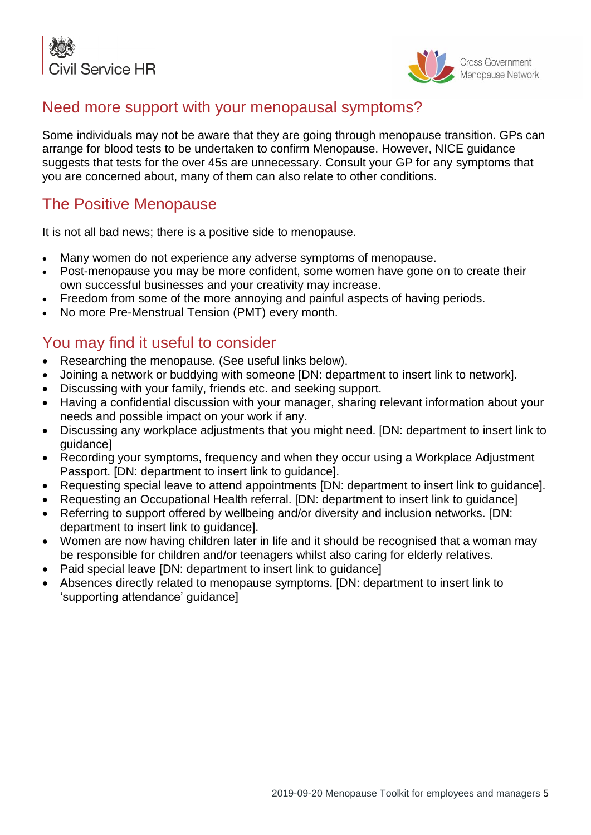



## Need more support with your menopausal symptoms?

Some individuals may not be aware that they are going through menopause transition. GPs can arrange for blood tests to be undertaken to confirm Menopause. However, NICE guidance suggests that tests for the over 45s are unnecessary. Consult your GP for any symptoms that you are concerned about, many of them can also relate to other conditions.

# The Positive Menopause

It is not all bad news; there is a positive side to menopause.

- Many women do not experience any adverse symptoms of menopause.
- Post-menopause you may be more confident, some women have gone on to create their own successful businesses and your creativity may increase.
- Freedom from some of the more annoying and painful aspects of having periods.
- No more Pre-Menstrual Tension (PMT) every month.

# You may find it useful to consider

- Researching the menopause. (See useful links below).
- Joining a network or buddying with someone [DN: department to insert link to network].
- Discussing with your family, friends etc. and seeking support.
- Having a confidential discussion with your manager, sharing relevant information about your needs and possible impact on your work if any.
- Discussing any workplace adjustments that you might need. [DN: department to insert link to guidance]
- Recording your symptoms, frequency and when they occur using a Workplace Adjustment Passport. [DN: department to insert link to guidance].
- Requesting special leave to attend appointments [DN: department to insert link to guidance].
- Requesting an Occupational Health referral. [DN: department to insert link to quidance]
- Referring to support offered by wellbeing and/or diversity and inclusion networks. [DN: department to insert link to guidance].
- Women are now having children later in life and it should be recognised that a woman may be responsible for children and/or teenagers whilst also caring for elderly relatives.
- Paid special leave [DN: department to insert link to guidance]
- Absences directly related to menopause symptoms. [DN: department to insert link to 'supporting attendance' guidance]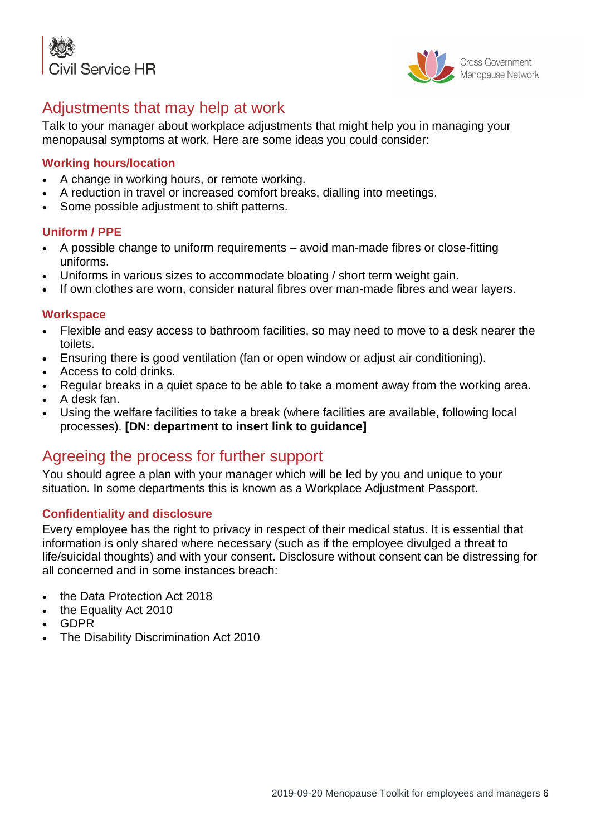



# Adjustments that may help at work

Talk to your manager about workplace adjustments that might help you in managing your menopausal symptoms at work. Here are some ideas you could consider:

### **Working hours/location**

- A change in working hours, or remote working.
- A reduction in travel or increased comfort breaks, dialling into meetings.
- Some possible adjustment to shift patterns.

#### **Uniform / PPE**

- A possible change to uniform requirements avoid man-made fibres or close-fitting uniforms.
- Uniforms in various sizes to accommodate bloating / short term weight gain.
- If own clothes are worn, consider natural fibres over man-made fibres and wear layers.

#### **Workspace**

- Flexible and easy access to bathroom facilities, so may need to move to a desk nearer the toilets.
- Ensuring there is good ventilation (fan or open window or adjust air conditioning).
- Access to cold drinks.
- Regular breaks in a quiet space to be able to take a moment away from the working area.
- A desk fan.
- Using the welfare facilities to take a break (where facilities are available, following local processes). **[DN: department to insert link to guidance]**

## Agreeing the process for further support

You should agree a plan with your manager which will be led by you and unique to your situation. In some departments this is known as a Workplace Adjustment Passport.

#### **Confidentiality and disclosure**

Every employee has the right to privacy in respect of their medical status. It is essential that information is only shared where necessary (such as if the employee divulged a threat to life/suicidal thoughts) and with your consent. Disclosure without consent can be distressing for all concerned and in some instances breach:

- the Data Protection Act 2018
- the Equality Act 2010
- GDPR
- The Disability Discrimination Act 2010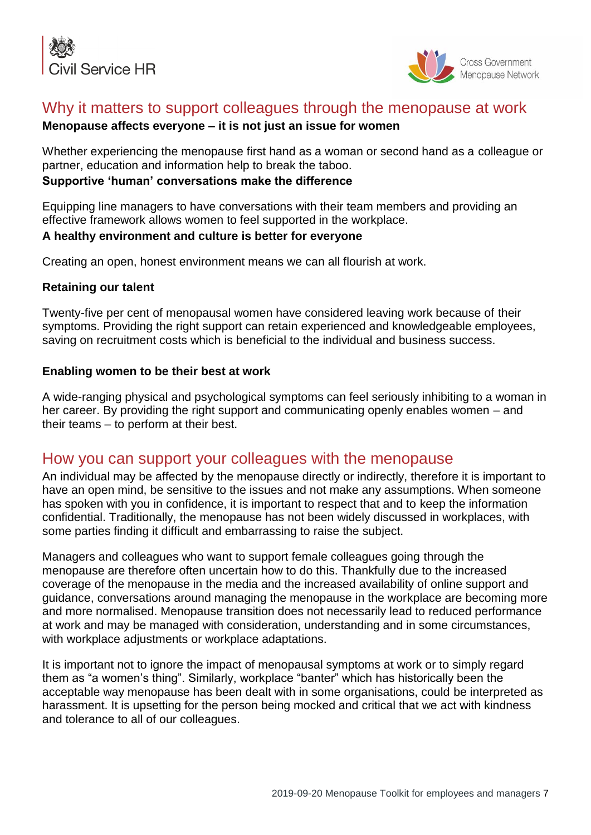



## Why it matters to support colleagues through the menopause at work

### **Menopause affects everyone – it is not just an issue for women**

Whether experiencing the menopause first hand as a woman or second hand as a colleague or partner, education and information help to break the taboo.

#### **Supportive 'human' conversations make the difference**

Equipping line managers to have conversations with their team members and providing an effective framework allows women to feel supported in the workplace.

#### **A healthy environment and culture is better for everyone**

Creating an open, honest environment means we can all flourish at work.

#### **Retaining our talent**

Twenty-five per cent of menopausal women have considered leaving work because of their symptoms. Providing the right support can retain experienced and knowledgeable employees, saving on recruitment costs which is beneficial to the individual and business success.

#### **Enabling women to be their best at work**

A wide-ranging physical and psychological symptoms can feel seriously inhibiting to a woman in her career. By providing the right support and communicating openly enables women – and their teams – to perform at their best.

## How you can support your colleagues with the menopause

An individual may be affected by the menopause directly or indirectly, therefore it is important to have an open mind, be sensitive to the issues and not make any assumptions. When someone has spoken with you in confidence, it is important to respect that and to keep the information confidential. Traditionally, the menopause has not been widely discussed in workplaces, with some parties finding it difficult and embarrassing to raise the subject.

Managers and colleagues who want to support female colleagues going through the menopause are therefore often uncertain how to do this. Thankfully due to the increased coverage of the menopause in the media and the increased availability of online support and guidance, conversations around managing the menopause in the workplace are becoming more and more normalised. Menopause transition does not necessarily lead to reduced performance at work and may be managed with consideration, understanding and in some circumstances, with workplace adjustments or workplace adaptations.

It is important not to ignore the impact of menopausal symptoms at work or to simply regard them as "a women's thing". Similarly, workplace "banter" which has historically been the acceptable way menopause has been dealt with in some organisations, could be interpreted as harassment. It is upsetting for the person being mocked and critical that we act with kindness and tolerance to all of our colleagues.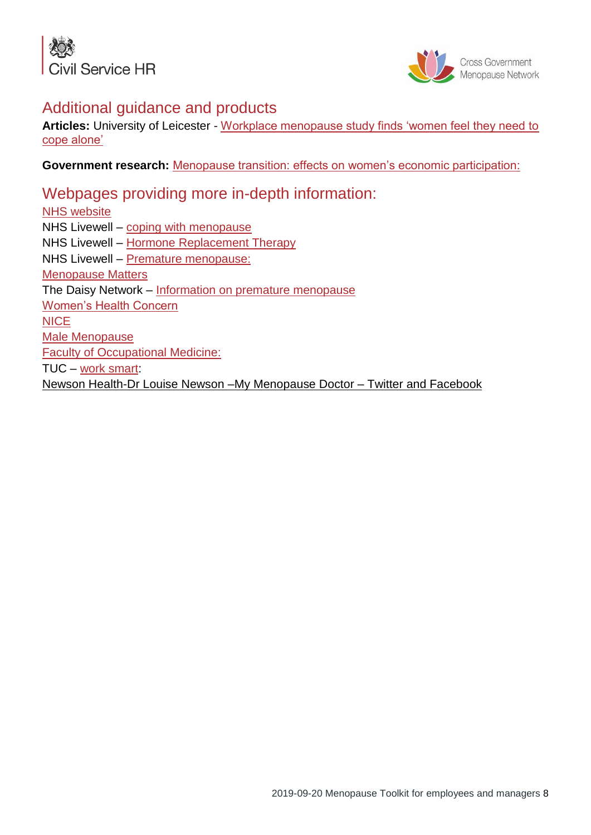



## Additional guidance and products

**Articles:** University of Leicester - [Workplace menopause study finds 'women feel they need to](https://www2.le.ac.uk/offices/press/press-releases/2017/august/workplace-menopause-study-finds-2018women-feel-they-need-to-cope-alone2019)  [cope alone'](https://www2.le.ac.uk/offices/press/press-releases/2017/august/workplace-menopause-study-finds-2018women-feel-they-need-to-cope-alone2019)

**Government research:** [Menopause transition: effects on women's economic participation:](https://www.gov.uk/government/publications/menopause-transition-effects-on-womens-economic-participation)

Webpages providing more in-depth information: [NHS website](https://www.nhs.uk/) NHS Livewell – [coping with menopause](https://www.nhs.uk/video/Pages/coping-with-the-menopause.aspx) NHS Livewell – [Hormone Replacement Therapy](https://www.nhs.uk/conditions/hormone-replacement-therapy-hrt/) NHS Livewell – [Premature menopause:](https://www.nhs.uk/conditions/early-menopause/) [Menopause Matters](http://www.menopausematters.co.uk/) The Daisy Network – [Information on premature menopause](http://www.daisynetwork.org/) [Women's Health Concern](http://www.womens-health-concern.org/help-and-advice/factsheets/focus-series/menopause) **[NICE](https://www.nice.org.uk/search?q=menopause)** [Male Menopause](https://www.nhs.uk/conditions/male-menopause/) [Faculty of Occupational Medicine:](http://www.fom.ac.uk/) TUC – [work smart:](https://worksmart.org.uk/health-advice/illnesses-and-injuries/your-body/menopause/what-should-employers-do) Newson Health-Dr Louise Newson –My Menopause Doctor – Twitter and Facebook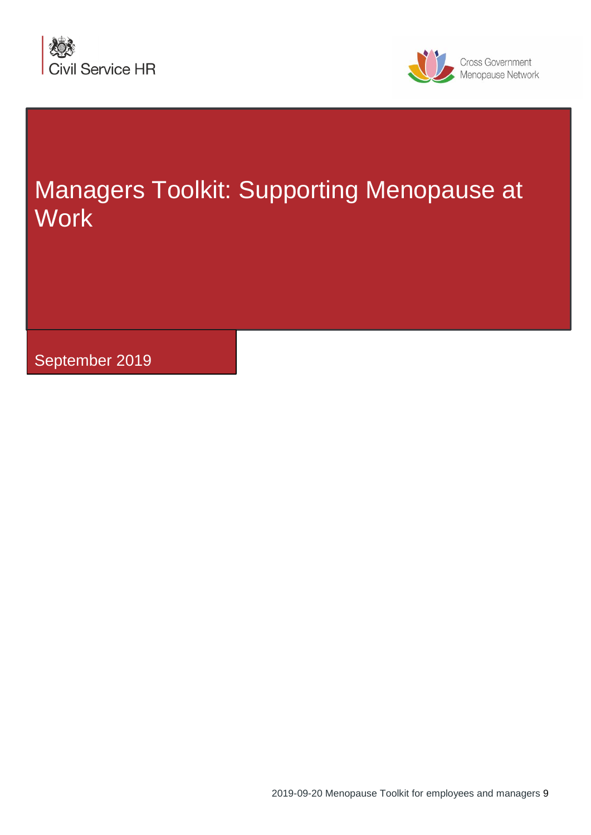



# Managers Toolkit: Supporting Menopause at **Work**

September 2019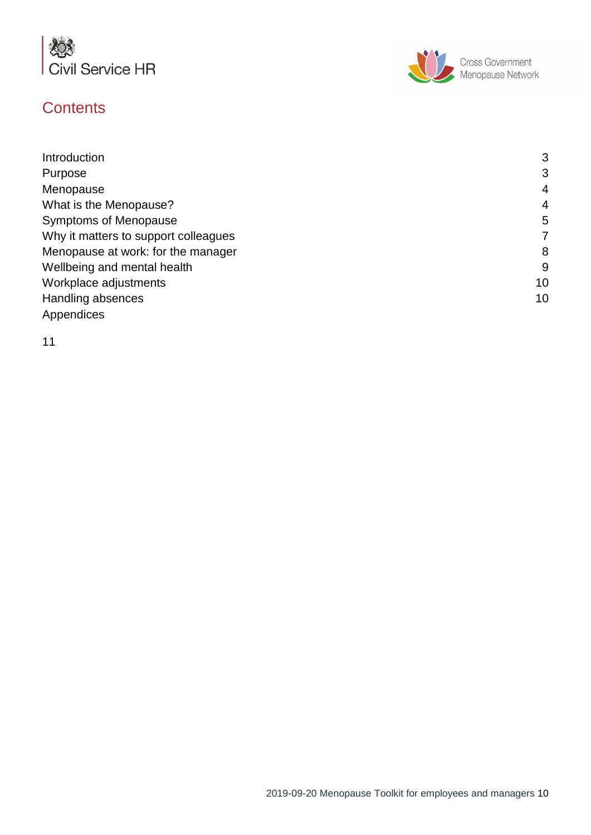

# **Contents**



| Introduction                         | 3  |
|--------------------------------------|----|
| Purpose                              | 3  |
| Menopause                            | 4  |
| What is the Menopause?               | 4  |
| <b>Symptoms of Menopause</b>         | 5  |
| Why it matters to support colleagues | 7  |
| Menopause at work: for the manager   | 8  |
| Wellbeing and mental health          | g  |
| Workplace adjustments                | 10 |
| Handling absences                    | 10 |
| Appendices                           |    |

11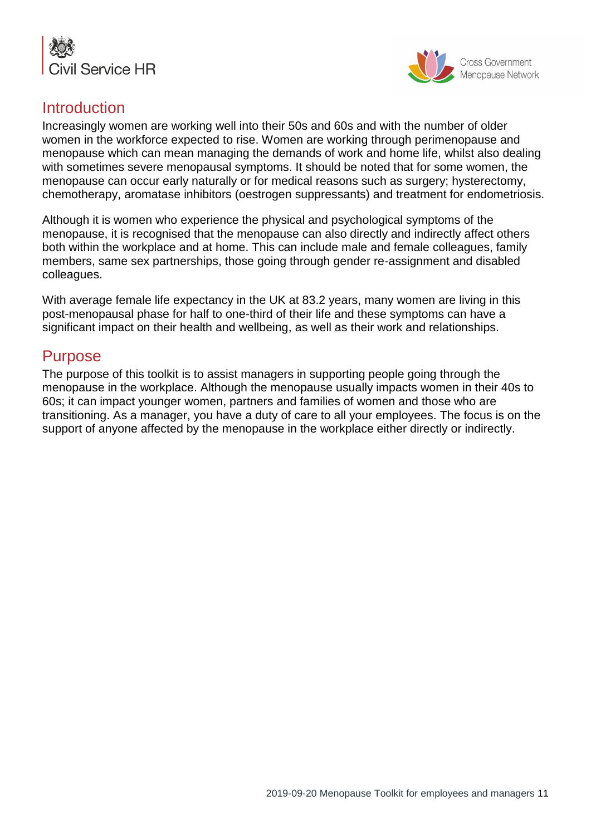



## **Introduction**

Increasingly women are working well into their 50s and 60s and with the number of older women in the workforce expected to rise. Women are working through perimenopause and menopause which can mean managing the demands of work and home life, whilst also dealing with sometimes severe menopausal symptoms. It should be noted that for some women, the menopause can occur early naturally or for medical reasons such as surgery; hysterectomy, chemotherapy, aromatase inhibitors (oestrogen suppressants) and treatment for endometriosis.

Although it is women who experience the physical and psychological symptoms of the menopause, it is recognised that the menopause can also directly and indirectly affect others both within the workplace and at home. This can include male and female colleagues, family members, same sex partnerships, those going through gender re-assignment and disabled colleagues.

With average female life expectancy in the UK at 83.2 years, many women are living in this post-menopausal phase for half to one-third of their life and these symptoms can have a significant impact on their health and wellbeing, as well as their work and relationships.

## Purpose

The purpose of this toolkit is to assist managers in supporting people going through the menopause in the workplace. Although the menopause usually impacts women in their 40s to 60s; it can impact younger women, partners and families of women and those who are transitioning. As a manager, you have a duty of care to all your employees. The focus is on the support of anyone affected by the menopause in the workplace either directly or indirectly.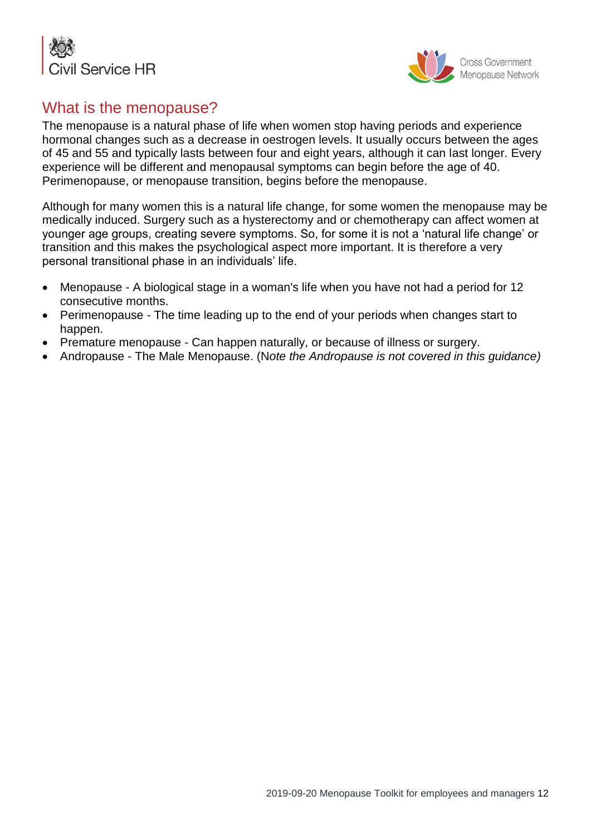



## What is the menopause?

The menopause is a natural phase of life when women stop having periods and experience hormonal changes such as a decrease in oestrogen levels. It usually occurs between the ages of 45 and 55 and typically lasts between four and eight years, although it can last longer. Every experience will be different and menopausal symptoms can begin before the age of 40. Perimenopause, or menopause transition, begins before the menopause.

Although for many women this is a natural life change, for some women the menopause may be medically induced. Surgery such as a hysterectomy and or chemotherapy can affect women at younger age groups, creating severe symptoms. So, for some it is not a 'natural life change' or transition and this makes the psychological aspect more important. It is therefore a very personal transitional phase in an individuals' life.

- Menopause A biological stage in a woman's life when you have not had a period for 12 consecutive months.
- Perimenopause The time leading up to the end of your periods when changes start to happen.
- Premature menopause Can happen naturally, or because of illness or surgery.
- Andropause The Male Menopause. (N*ote the Andropause is not covered in this guidance)*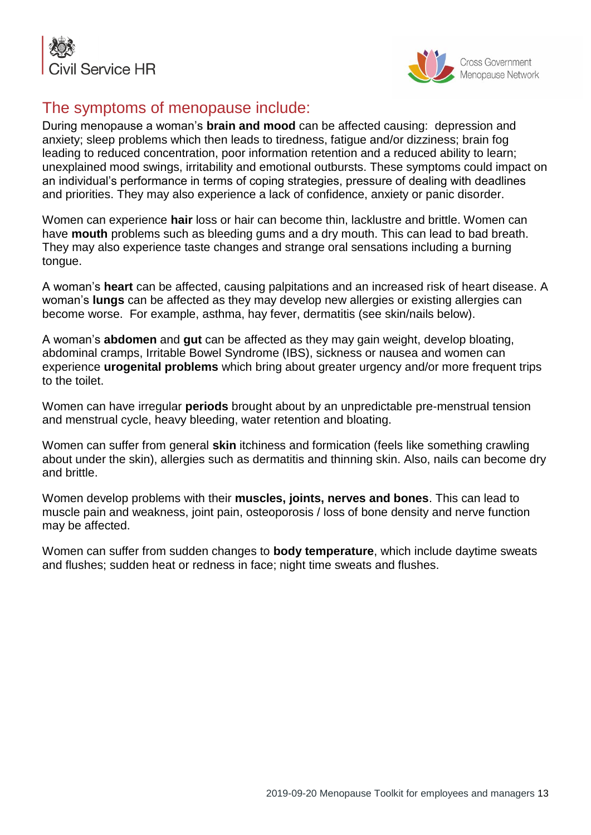



# The symptoms of menopause include:

During menopause a woman's **brain and mood** can be affected causing: depression and anxiety; sleep problems which then leads to tiredness, fatigue and/or dizziness; brain fog leading to reduced concentration, poor information retention and a reduced ability to learn; unexplained mood swings, irritability and emotional outbursts. These symptoms could impact on an individual's performance in terms of coping strategies, pressure of dealing with deadlines and priorities. They may also experience a lack of confidence, anxiety or panic disorder.

Women can experience **hair** loss or hair can become thin, lacklustre and brittle. Women can have **mouth** problems such as bleeding gums and a dry mouth. This can lead to bad breath. They may also experience taste changes and strange oral sensations including a burning tongue.

A woman's **heart** can be affected, causing palpitations and an increased risk of heart disease. A woman's **lungs** can be affected as they may develop new allergies or existing allergies can become worse. For example, asthma, hay fever, dermatitis (see skin/nails below).

A woman's **abdomen** and **gut** can be affected as they may gain weight, develop bloating, abdominal cramps, Irritable Bowel Syndrome (IBS), sickness or nausea and women can experience **urogenital problems** which bring about greater urgency and/or more frequent trips to the toilet.

Women can have irregular **periods** brought about by an unpredictable pre-menstrual tension and menstrual cycle, heavy bleeding, water retention and bloating.

Women can suffer from general **skin** itchiness and formication (feels like something crawling about under the skin), allergies such as dermatitis and thinning skin. Also, nails can become dry and brittle.

Women develop problems with their **muscles, joints, nerves and bones**. This can lead to muscle pain and weakness, joint pain, osteoporosis / loss of bone density and nerve function may be affected.

Women can suffer from sudden changes to **body temperature**, which include daytime sweats and flushes; sudden heat or redness in face; night time sweats and flushes.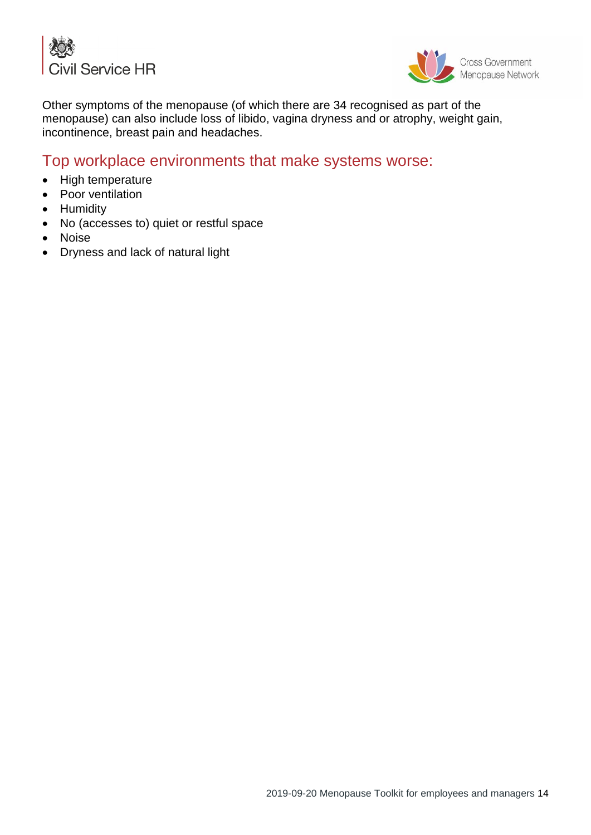



Other symptoms of the menopause (of which there are 34 recognised as part of the menopause) can also include loss of libido, vagina dryness and or atrophy, weight gain, incontinence, breast pain and headaches.

## Top workplace environments that make systems worse:

- High temperature
- Poor ventilation
- Humidity
- No (accesses to) quiet or restful space
- Noise
- Dryness and lack of natural light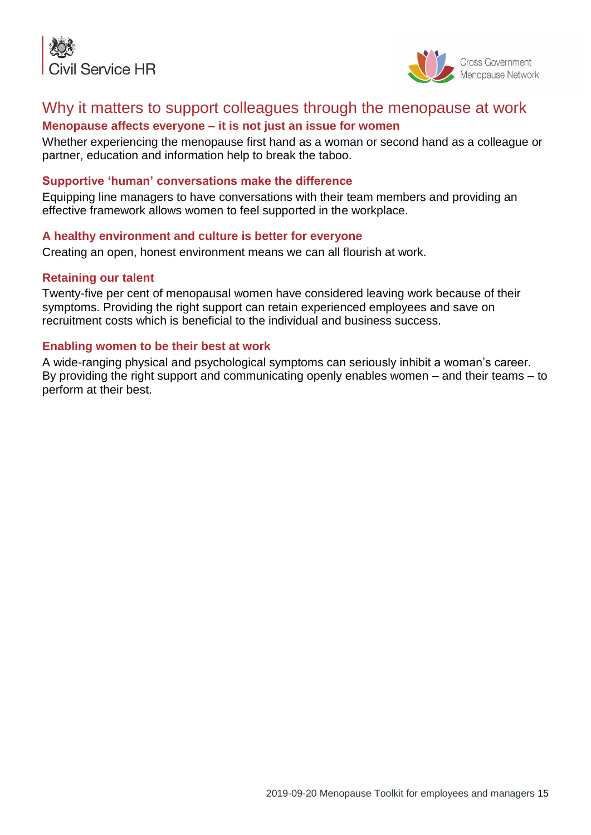



## Why it matters to support colleagues through the menopause at work

### **Menopause affects everyone – it is not just an issue for women**

Whether experiencing the menopause first hand as a woman or second hand as a colleague or partner, education and information help to break the taboo.

#### **Supportive 'human' conversations make the difference**

Equipping line managers to have conversations with their team members and providing an effective framework allows women to feel supported in the workplace.

#### **A healthy environment and culture is better for everyone**

Creating an open, honest environment means we can all flourish at work.

#### **Retaining our talent**

Twenty-five per cent of menopausal women have considered leaving work because of their symptoms. Providing the right support can retain experienced employees and save on recruitment costs which is beneficial to the individual and business success.

#### **Enabling women to be their best at work**

A wide-ranging physical and psychological symptoms can seriously inhibit a woman's career. By providing the right support and communicating openly enables women – and their teams – to perform at their best.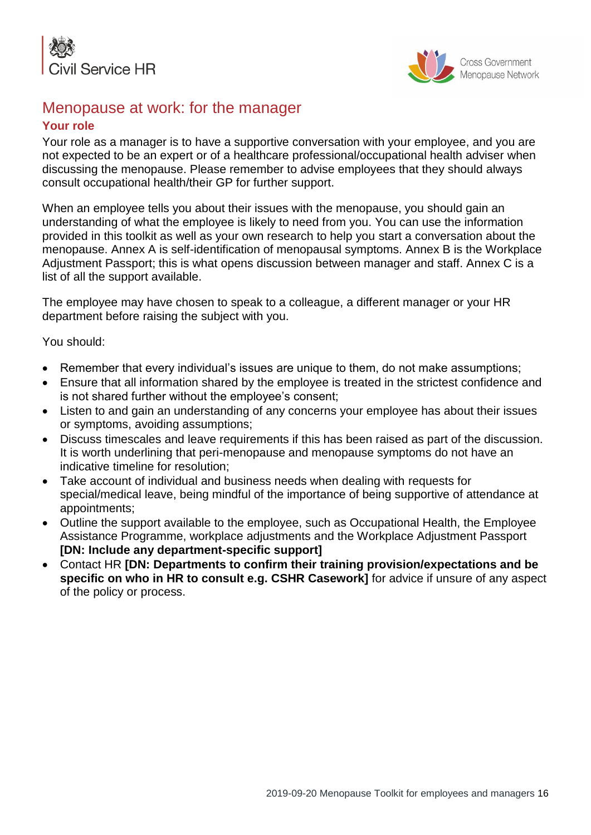



## Menopause at work: for the manager

#### **Your role**

Your role as a manager is to have a supportive conversation with your employee, and you are not expected to be an expert or of a healthcare professional/occupational health adviser when discussing the menopause. Please remember to advise employees that they should always consult occupational health/their GP for further support.

When an employee tells you about their issues with the menopause, you should gain an understanding of what the employee is likely to need from you. You can use the information provided in this toolkit as well as your own research to help you start a conversation about the menopause. Annex A is self-identification of menopausal symptoms. Annex B is the Workplace Adjustment Passport; this is what opens discussion between manager and staff. Annex C is a list of all the support available.

The employee may have chosen to speak to a colleague, a different manager or your HR department before raising the subject with you.

You should:

- Remember that every individual's issues are unique to them, do not make assumptions;
- Ensure that all information shared by the employee is treated in the strictest confidence and is not shared further without the employee's consent;
- Listen to and gain an understanding of any concerns your employee has about their issues or symptoms, avoiding assumptions;
- Discuss timescales and leave requirements if this has been raised as part of the discussion. It is worth underlining that peri-menopause and menopause symptoms do not have an indicative timeline for resolution;
- Take account of individual and business needs when dealing with requests for special/medical leave, being mindful of the importance of being supportive of attendance at appointments;
- Outline the support available to the employee, such as Occupational Health, the Employee Assistance Programme, workplace adjustments and the Workplace Adjustment Passport **[DN: Include any department-specific support]**
- Contact HR **[DN: Departments to confirm their training provision/expectations and be specific on who in HR to consult e.g. CSHR Casework]** for advice if unsure of any aspect of the policy or process.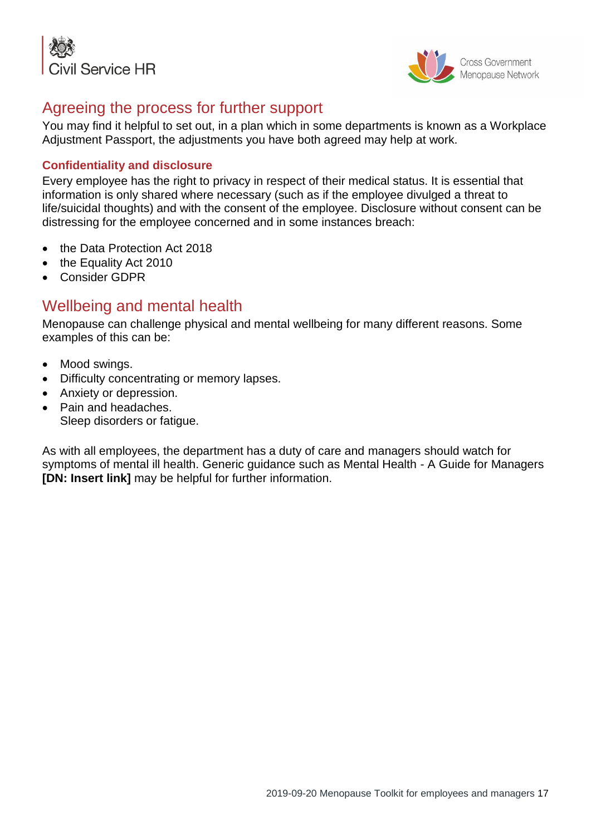



## Agreeing the process for further support

You may find it helpful to set out, in a plan which in some departments is known as a Workplace Adjustment Passport, the adjustments you have both agreed may help at work.

### **Confidentiality and disclosure**

Every employee has the right to privacy in respect of their medical status. It is essential that information is only shared where necessary (such as if the employee divulged a threat to life/suicidal thoughts) and with the consent of the employee. Disclosure without consent can be distressing for the employee concerned and in some instances breach:

- the Data Protection Act 2018
- the Equality Act 2010
- Consider GDPR

## Wellbeing and mental health

Menopause can challenge physical and mental wellbeing for many different reasons. Some examples of this can be:

- Mood swings.
- Difficulty concentrating or memory lapses.
- Anxiety or depression.
- Pain and headaches. Sleep disorders or fatigue.

As with all employees, the department has a duty of care and managers should watch for symptoms of mental ill health. Generic guidance such as Mental Health - A Guide for Managers **[DN: Insert link]** may be helpful for further information.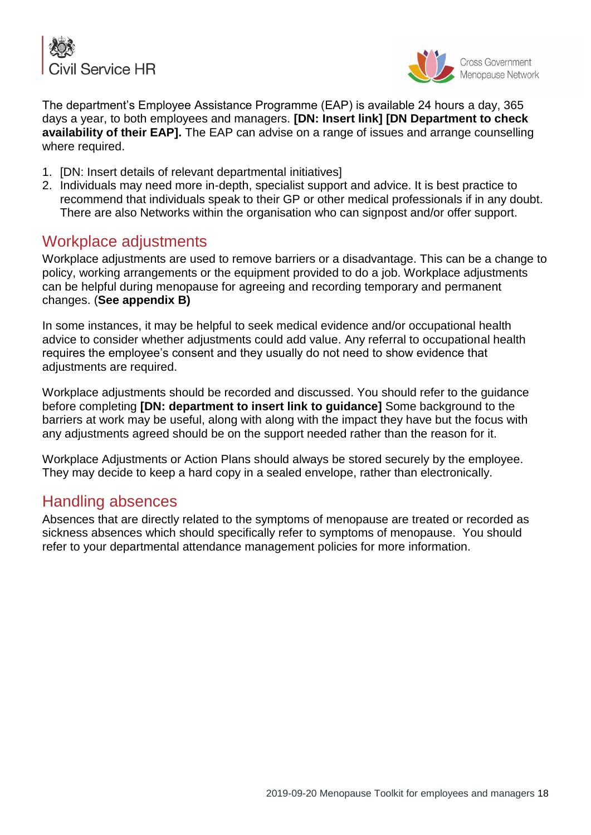



The department's Employee Assistance Programme (EAP) is available 24 hours a day, 365 days a year, to both employees and managers. **[DN: Insert link] [DN Department to check availability of their EAP].** The EAP can advise on a range of issues and arrange counselling where required.

- 1. [DN: Insert details of relevant departmental initiatives]
- 2. Individuals may need more in-depth, specialist support and advice. It is best practice to recommend that individuals speak to their GP or other medical professionals if in any doubt. There are also Networks within the organisation who can signpost and/or offer support.

## Workplace adjustments

Workplace adjustments are used to remove barriers or a disadvantage. This can be a change to policy, working arrangements or the equipment provided to do a job. Workplace adjustments can be helpful during menopause for agreeing and recording temporary and permanent changes. (**See appendix B)**

In some instances, it may be helpful to seek medical evidence and/or occupational health advice to consider whether adjustments could add value. Any referral to occupational health requires the employee's consent and they usually do not need to show evidence that adjustments are required.

Workplace adjustments should be recorded and discussed. You should refer to the guidance before completing **[DN: department to insert link to guidance]** Some background to the barriers at work may be useful, along with along with the impact they have but the focus with any adjustments agreed should be on the support needed rather than the reason for it.

Workplace Adjustments or Action Plans should always be stored securely by the employee. They may decide to keep a hard copy in a sealed envelope, rather than electronically.

## Handling absences

Absences that are directly related to the symptoms of menopause are treated or recorded as sickness absences which should specifically refer to symptoms of menopause. You should refer to your departmental attendance management policies for more information.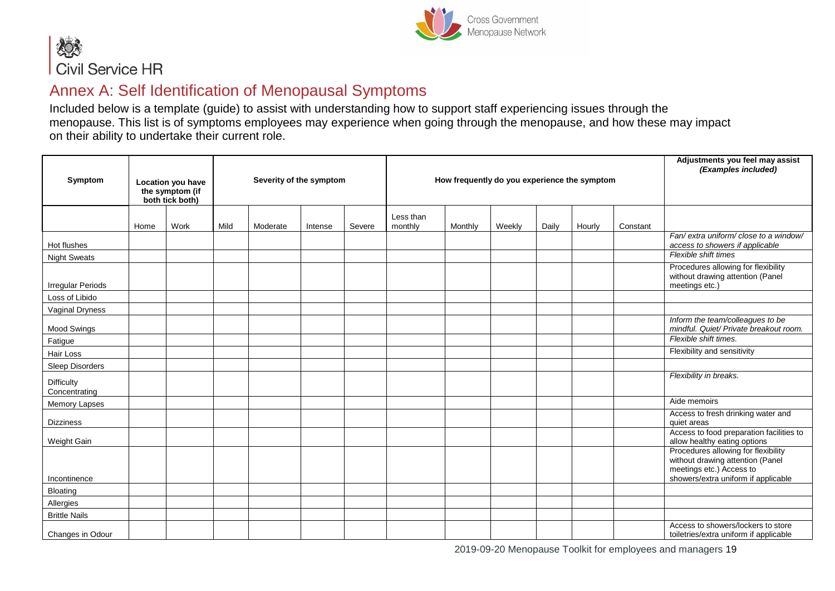



## Annex A: Self Identification of Menopausal Symptoms

Included below is a template (guide) to assist with understanding how to support staff experiencing issues through the menopause. This list is of symptoms employees may experience when going through the menopause, and how these may impact on their ability to undertake their current role.

| Symptom                            |      | Location you have<br>the symptom (if<br>both tick both) | Severity of the symptom |          |         | How frequently do you experience the symptom |                      |         |        |       | Adjustments you feel may assist<br>(Examples included) |          |                                                                                                                                            |
|------------------------------------|------|---------------------------------------------------------|-------------------------|----------|---------|----------------------------------------------|----------------------|---------|--------|-------|--------------------------------------------------------|----------|--------------------------------------------------------------------------------------------------------------------------------------------|
|                                    | Home | Work                                                    | Mild                    | Moderate | Intense | Severe                                       | Less than<br>monthly | Monthly | Weekly | Daily | Hourly                                                 | Constant |                                                                                                                                            |
| Hot flushes                        |      |                                                         |                         |          |         |                                              |                      |         |        |       |                                                        |          | Fan/ extra uniform/ close to a window/<br>access to showers if applicable                                                                  |
| <b>Night Sweats</b>                |      |                                                         |                         |          |         |                                              |                      |         |        |       |                                                        |          | Flexible shift times                                                                                                                       |
| <b>Irregular Periods</b>           |      |                                                         |                         |          |         |                                              |                      |         |        |       |                                                        |          | Procedures allowing for flexibility<br>without drawing attention (Panel<br>meetings etc.)                                                  |
| Loss of Libido                     |      |                                                         |                         |          |         |                                              |                      |         |        |       |                                                        |          |                                                                                                                                            |
| Vaginal Dryness                    |      |                                                         |                         |          |         |                                              |                      |         |        |       |                                                        |          |                                                                                                                                            |
| <b>Mood Swings</b>                 |      |                                                         |                         |          |         |                                              |                      |         |        |       |                                                        |          | Inform the team/colleagues to be<br>mindful. Quiet/ Private breakout room.                                                                 |
| Fatigue                            |      |                                                         |                         |          |         |                                              |                      |         |        |       |                                                        |          | Flexible shift times.                                                                                                                      |
| Hair Loss                          |      |                                                         |                         |          |         |                                              |                      |         |        |       |                                                        |          | Flexibility and sensitivity                                                                                                                |
| Sleep Disorders                    |      |                                                         |                         |          |         |                                              |                      |         |        |       |                                                        |          |                                                                                                                                            |
| <b>Difficulty</b><br>Concentrating |      |                                                         |                         |          |         |                                              |                      |         |        |       |                                                        |          | Flexibility in breaks.                                                                                                                     |
| <b>Memory Lapses</b>               |      |                                                         |                         |          |         |                                              |                      |         |        |       |                                                        |          | Aide memoirs                                                                                                                               |
| <b>Dizziness</b>                   |      |                                                         |                         |          |         |                                              |                      |         |        |       |                                                        |          | Access to fresh drinking water and<br>quiet areas                                                                                          |
| Weight Gain                        |      |                                                         |                         |          |         |                                              |                      |         |        |       |                                                        |          | Access to food preparation facilities to<br>allow healthy eating options                                                                   |
| Incontinence                       |      |                                                         |                         |          |         |                                              |                      |         |        |       |                                                        |          | Procedures allowing for flexibility<br>without drawing attention (Panel<br>meetings etc.) Access to<br>showers/extra uniform if applicable |
| Bloating                           |      |                                                         |                         |          |         |                                              |                      |         |        |       |                                                        |          |                                                                                                                                            |
| Allergies                          |      |                                                         |                         |          |         |                                              |                      |         |        |       |                                                        |          |                                                                                                                                            |
| <b>Brittle Nails</b>               |      |                                                         |                         |          |         |                                              |                      |         |        |       |                                                        |          |                                                                                                                                            |
| Changes in Odour                   |      |                                                         |                         |          |         |                                              |                      |         |        |       |                                                        |          | Access to showers/lockers to store<br>toiletries/extra uniform if applicable                                                               |

2019-09-20 Menopause Toolkit for employees and managers 19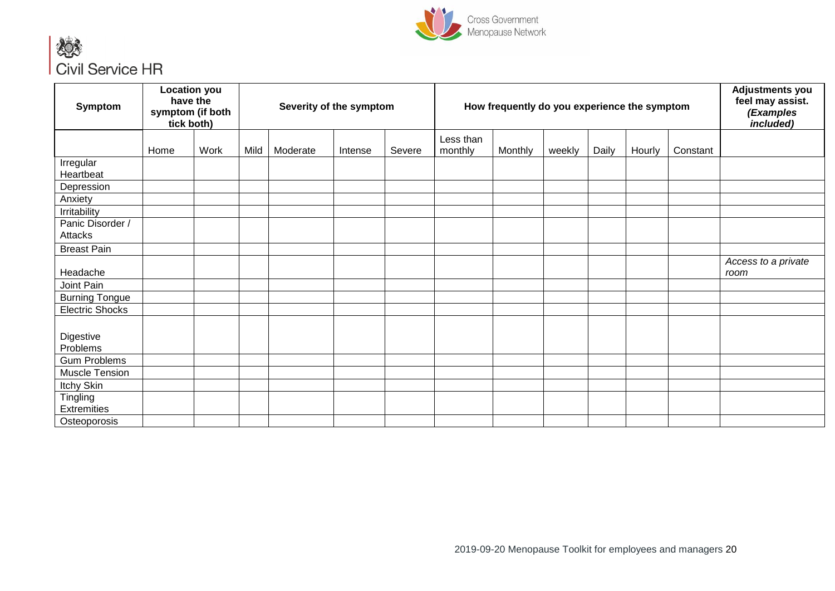



| Symptom                        |      | <b>Location you</b><br>have the<br>symptom (if both<br>tick both) | Severity of the symptom<br>How frequently do you experience the symptom |          |         | Adjustments you<br>feel may assist.<br>(Examples<br>included) |                      |         |        |       |        |          |                             |
|--------------------------------|------|-------------------------------------------------------------------|-------------------------------------------------------------------------|----------|---------|---------------------------------------------------------------|----------------------|---------|--------|-------|--------|----------|-----------------------------|
|                                | Home | Work                                                              | Mild                                                                    | Moderate | Intense | Severe                                                        | Less than<br>monthly | Monthly | weekly | Daily | Hourly | Constant |                             |
| Irregular<br>Heartbeat         |      |                                                                   |                                                                         |          |         |                                                               |                      |         |        |       |        |          |                             |
| Depression                     |      |                                                                   |                                                                         |          |         |                                                               |                      |         |        |       |        |          |                             |
| Anxiety                        |      |                                                                   |                                                                         |          |         |                                                               |                      |         |        |       |        |          |                             |
| Irritability                   |      |                                                                   |                                                                         |          |         |                                                               |                      |         |        |       |        |          |                             |
| Panic Disorder /<br>Attacks    |      |                                                                   |                                                                         |          |         |                                                               |                      |         |        |       |        |          |                             |
| <b>Breast Pain</b>             |      |                                                                   |                                                                         |          |         |                                                               |                      |         |        |       |        |          |                             |
| Headache                       |      |                                                                   |                                                                         |          |         |                                                               |                      |         |        |       |        |          | Access to a private<br>room |
| Joint Pain                     |      |                                                                   |                                                                         |          |         |                                                               |                      |         |        |       |        |          |                             |
| <b>Burning Tongue</b>          |      |                                                                   |                                                                         |          |         |                                                               |                      |         |        |       |        |          |                             |
| <b>Electric Shocks</b>         |      |                                                                   |                                                                         |          |         |                                                               |                      |         |        |       |        |          |                             |
| Digestive<br>Problems          |      |                                                                   |                                                                         |          |         |                                                               |                      |         |        |       |        |          |                             |
| <b>Gum Problems</b>            |      |                                                                   |                                                                         |          |         |                                                               |                      |         |        |       |        |          |                             |
| Muscle Tension                 |      |                                                                   |                                                                         |          |         |                                                               |                      |         |        |       |        |          |                             |
| Itchy Skin                     |      |                                                                   |                                                                         |          |         |                                                               |                      |         |        |       |        |          |                             |
| Tingling<br><b>Extremities</b> |      |                                                                   |                                                                         |          |         |                                                               |                      |         |        |       |        |          |                             |
| Osteoporosis                   |      |                                                                   |                                                                         |          |         |                                                               |                      |         |        |       |        |          |                             |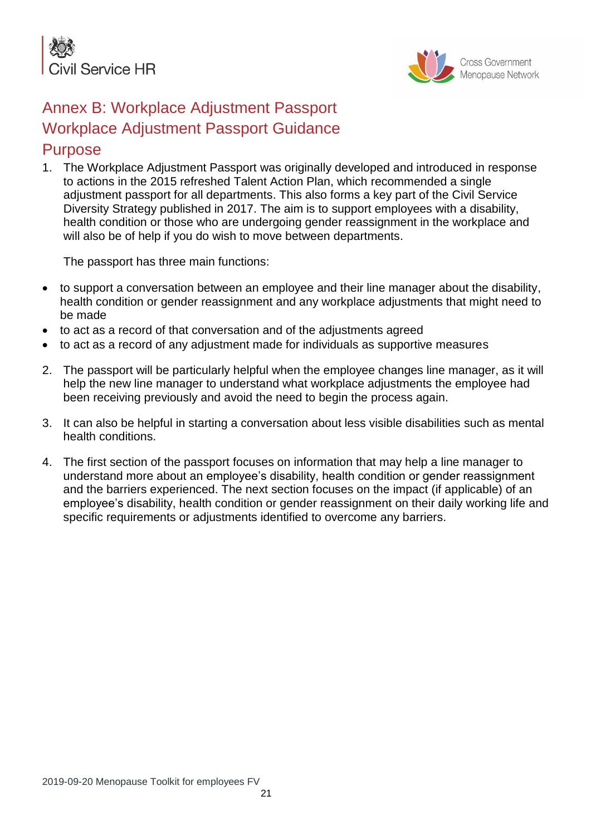



# Annex B: Workplace Adjustment Passport Workplace Adjustment Passport Guidance **Purpose**

1. The Workplace Adjustment Passport was originally developed and introduced in response to actions in the 2015 refreshed Talent Action Plan, which recommended a single adjustment passport for all departments. This also forms a key part of the Civil Service Diversity Strategy published in 2017. The aim is to support employees with a disability, health condition or those who are undergoing gender reassignment in the workplace and will also be of help if you do wish to move between departments.

The passport has three main functions:

- to support a conversation between an employee and their line manager about the disability, health condition or gender reassignment and any workplace adjustments that might need to be made
- to act as a record of that conversation and of the adjustments agreed
- to act as a record of any adjustment made for individuals as supportive measures
- 2. The passport will be particularly helpful when the employee changes line manager, as it will help the new line manager to understand what workplace adjustments the employee had been receiving previously and avoid the need to begin the process again.
- 3. It can also be helpful in starting a conversation about less visible disabilities such as mental health conditions.
- 4. The first section of the passport focuses on information that may help a line manager to understand more about an employee's disability, health condition or gender reassignment and the barriers experienced. The next section focuses on the impact (if applicable) of an employee's disability, health condition or gender reassignment on their daily working life and specific requirements or adjustments identified to overcome any barriers.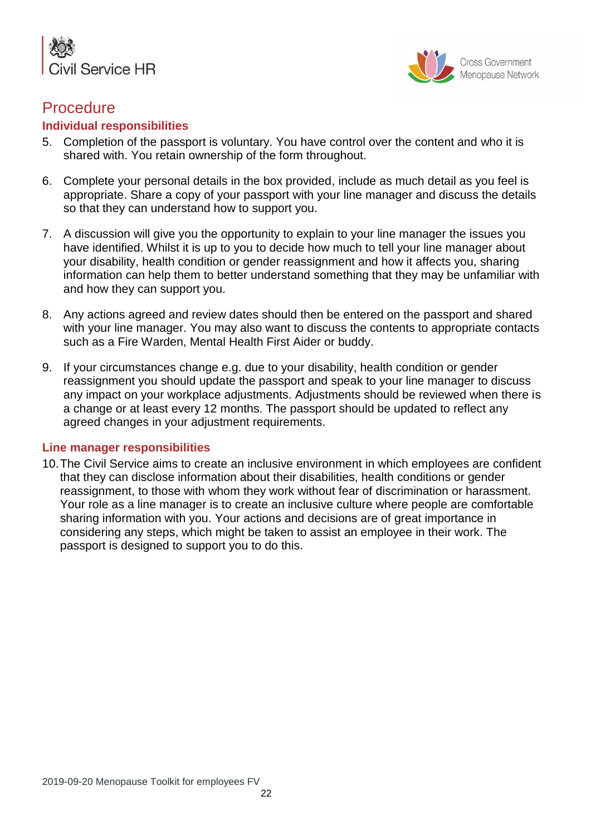



## **Procedure**

#### **Individual responsibilities**

- 5. Completion of the passport is voluntary. You have control over the content and who it is shared with. You retain ownership of the form throughout.
- 6. Complete your personal details in the box provided, include as much detail as you feel is appropriate. Share a copy of your passport with your line manager and discuss the details so that they can understand how to support you.
- 7. A discussion will give you the opportunity to explain to your line manager the issues you have identified. Whilst it is up to you to decide how much to tell your line manager about your disability, health condition or gender reassignment and how it affects you, sharing information can help them to better understand something that they may be unfamiliar with and how they can support you.
- 8. Any actions agreed and review dates should then be entered on the passport and shared with your line manager. You may also want to discuss the contents to appropriate contacts such as a Fire Warden, Mental Health First Aider or buddy.
- 9. If your circumstances change e.g. due to your disability, health condition or gender reassignment you should update the passport and speak to your line manager to discuss any impact on your workplace adjustments. Adjustments should be reviewed when there is a change or at least every 12 months. The passport should be updated to reflect any agreed changes in your adjustment requirements.

#### **Line manager responsibilities**

10.The Civil Service aims to create an inclusive environment in which employees are confident that they can disclose information about their disabilities, health conditions or gender reassignment, to those with whom they work without fear of discrimination or harassment. Your role as a line manager is to create an inclusive culture where people are comfortable sharing information with you. Your actions and decisions are of great importance in considering any steps, which might be taken to assist an employee in their work. The passport is designed to support you to do this.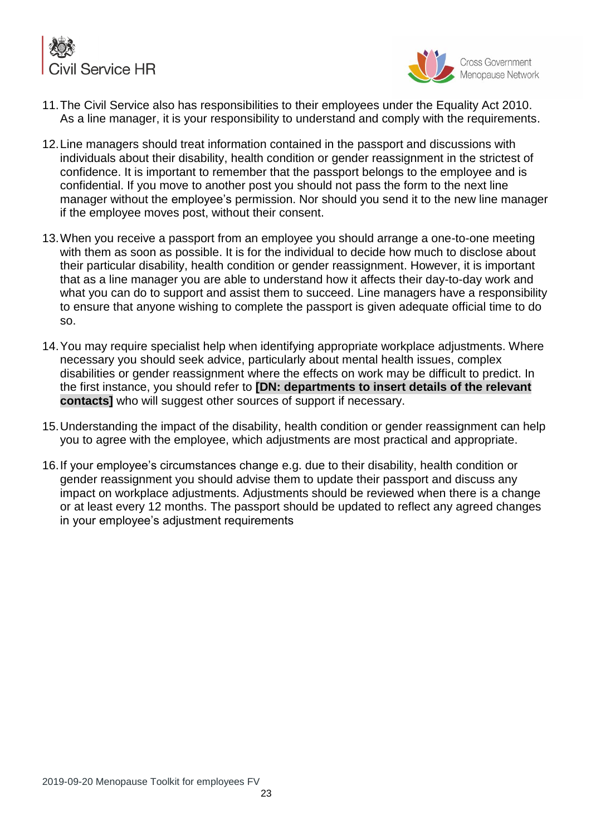



- 11.The Civil Service also has responsibilities to their employees under the Equality Act 2010. As a line manager, it is your responsibility to understand and comply with the requirements.
- 12.Line managers should treat information contained in the passport and discussions with individuals about their disability, health condition or gender reassignment in the strictest of confidence. It is important to remember that the passport belongs to the employee and is confidential. If you move to another post you should not pass the form to the next line manager without the employee's permission. Nor should you send it to the new line manager if the employee moves post, without their consent.
- 13.When you receive a passport from an employee you should arrange a one-to-one meeting with them as soon as possible. It is for the individual to decide how much to disclose about their particular disability, health condition or gender reassignment. However, it is important that as a line manager you are able to understand how it affects their day-to-day work and what you can do to support and assist them to succeed. Line managers have a responsibility to ensure that anyone wishing to complete the passport is given adequate official time to do so.
- 14.You may require specialist help when identifying appropriate workplace adjustments. Where necessary you should seek advice, particularly about mental health issues, complex disabilities or gender reassignment where the effects on work may be difficult to predict. In the first instance, you should refer to **[DN: departments to insert details of the relevant contacts]** who will suggest other sources of support if necessary.
- 15.Understanding the impact of the disability, health condition or gender reassignment can help you to agree with the employee, which adjustments are most practical and appropriate.
- 16.If your employee's circumstances change e.g. due to their disability, health condition or gender reassignment you should advise them to update their passport and discuss any impact on workplace adjustments. Adjustments should be reviewed when there is a change or at least every 12 months. The passport should be updated to reflect any agreed changes in your employee's adjustment requirements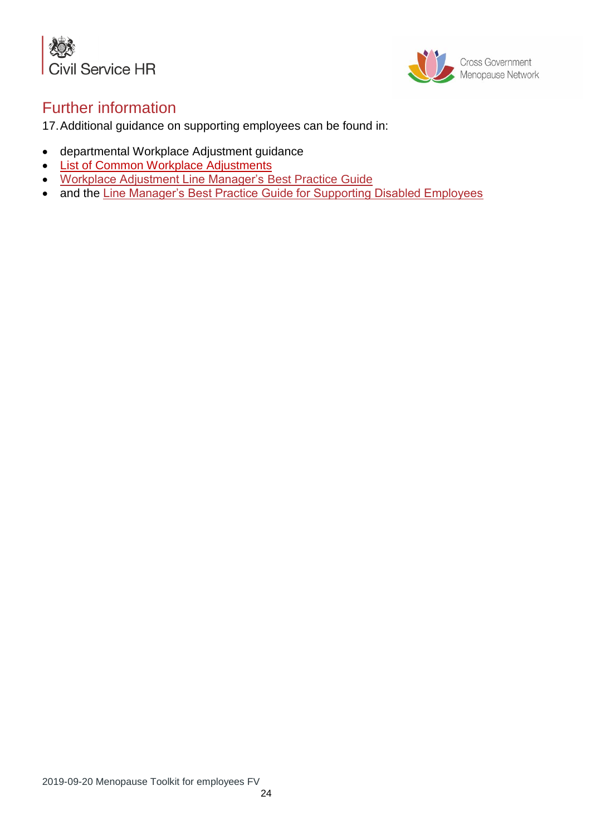



## Further information

17.Additional guidance on supporting employees can be found in:

- departmental Workplace Adjustment guidance
- [List of Common Workplace Adjustments](https://civilservicelearning.civilservice.gov.uk/learning-resources/list-common-workplace-adjustments)
- [Workplace Adjustment Line Manager's](https://civilservicelearning.civilservice.gov.uk/learning-resources/workplace-adjustments-line-managers-best-practice-guide) Best Practice Guide
- and the [Line Manager's Best Practice Guide for Supporting Disabled Employees](https://civilservicelearning.civilservice.gov.uk/learning-resources/supporting-disabled-employees-line-managers-best-practice-guide)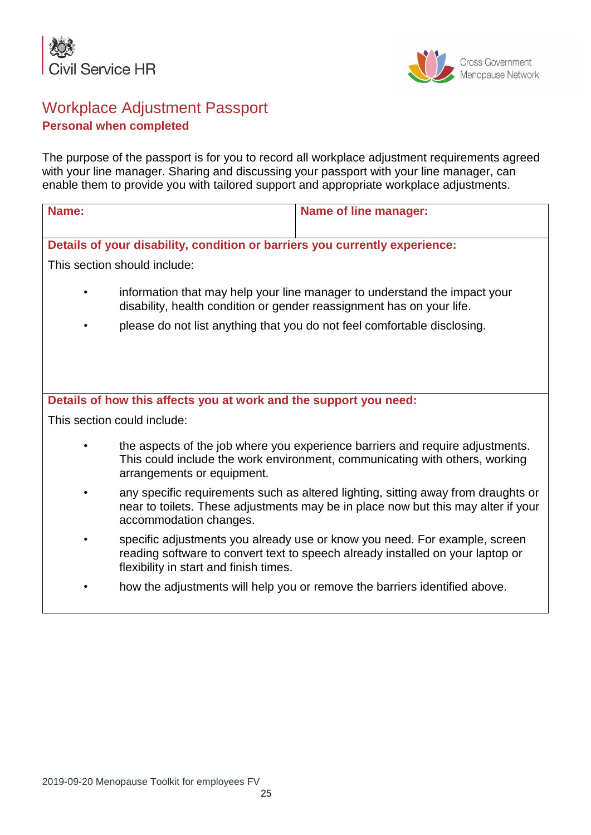



## Workplace Adjustment Passport **Personal when completed**

The purpose of the passport is for you to record all workplace adjustment requirements agreed with your line manager. Sharing and discussing your passport with your line manager, can enable them to provide you with tailored support and appropriate workplace adjustments.

| Name:                                                                                                                                                                                                                          |                                                                   | <b>Name of line manager:</b>                                                                                                                                           |  |  |  |  |  |  |  |
|--------------------------------------------------------------------------------------------------------------------------------------------------------------------------------------------------------------------------------|-------------------------------------------------------------------|------------------------------------------------------------------------------------------------------------------------------------------------------------------------|--|--|--|--|--|--|--|
| Details of your disability, condition or barriers you currently experience:                                                                                                                                                    |                                                                   |                                                                                                                                                                        |  |  |  |  |  |  |  |
| This section should include:                                                                                                                                                                                                   |                                                                   |                                                                                                                                                                        |  |  |  |  |  |  |  |
| information that may help your line manager to understand the impact your<br>disability, health condition or gender reassignment has on your life.<br>please do not list anything that you do not feel comfortable disclosing. |                                                                   |                                                                                                                                                                        |  |  |  |  |  |  |  |
|                                                                                                                                                                                                                                |                                                                   |                                                                                                                                                                        |  |  |  |  |  |  |  |
|                                                                                                                                                                                                                                |                                                                   |                                                                                                                                                                        |  |  |  |  |  |  |  |
|                                                                                                                                                                                                                                |                                                                   |                                                                                                                                                                        |  |  |  |  |  |  |  |
|                                                                                                                                                                                                                                | Details of how this affects you at work and the support you need: |                                                                                                                                                                        |  |  |  |  |  |  |  |
|                                                                                                                                                                                                                                | This section could include:                                       |                                                                                                                                                                        |  |  |  |  |  |  |  |
|                                                                                                                                                                                                                                | arrangements or equipment.                                        | the aspects of the job where you experience barriers and require adjustments.<br>This could include the work environment, communicating with others, working           |  |  |  |  |  |  |  |
| $\bullet$                                                                                                                                                                                                                      | accommodation changes.                                            | any specific requirements such as altered lighting, sitting away from draughts or<br>near to toilets. These adjustments may be in place now but this may alter if your |  |  |  |  |  |  |  |
|                                                                                                                                                                                                                                | flexibility in start and finish times.                            | specific adjustments you already use or know you need. For example, screen<br>reading software to convert text to speech already installed on your laptop or           |  |  |  |  |  |  |  |
|                                                                                                                                                                                                                                |                                                                   | how the adjustments will help you or remove the barriers identified above.                                                                                             |  |  |  |  |  |  |  |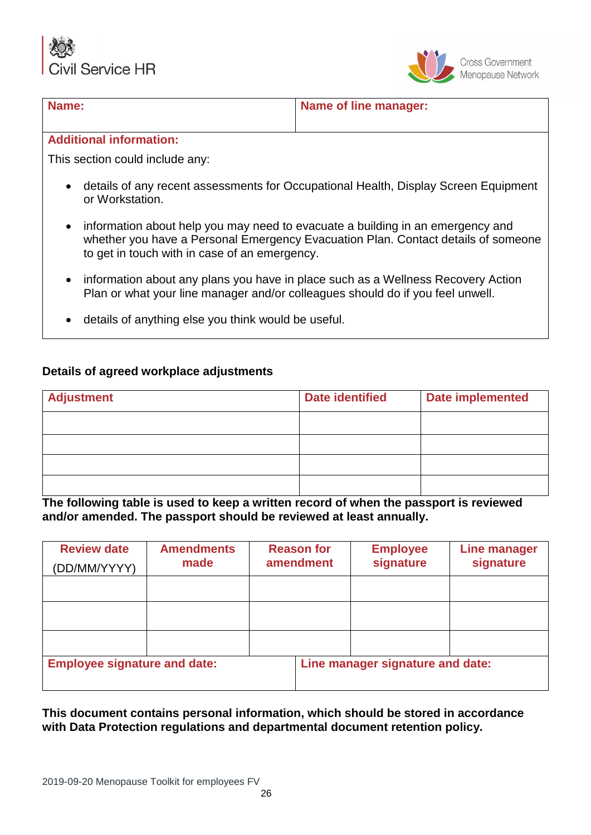Service HR



#### **Name: Name: Name of line manager:**

#### **Additional information:**

This section could include any:

- details of any recent assessments for Occupational Health, Display Screen Equipment or Workstation.
- information about help you may need to evacuate a building in an emergency and whether you have a Personal Emergency Evacuation Plan. Contact details of someone to get in touch with in case of an emergency.
- information about any plans you have in place such as a Wellness Recovery Action Plan or what your line manager and/or colleagues should do if you feel unwell.
- details of anything else you think would be useful.

#### **Details of agreed workplace adjustments**

| <b>Adjustment</b> | <b>Date identified</b> | <b>Date implemented</b> |
|-------------------|------------------------|-------------------------|
|                   |                        |                         |
|                   |                        |                         |
|                   |                        |                         |
|                   |                        |                         |

**The following table is used to keep a written record of when the passport is reviewed and/or amended. The passport should be reviewed at least annually.**

| <b>Review date</b><br>(DD/MM/YYYY)  | <b>Amendments</b><br>made | <b>Reason for</b><br>amendment | <b>Employee</b><br>signature     | <b>Line manager</b><br>signature |
|-------------------------------------|---------------------------|--------------------------------|----------------------------------|----------------------------------|
|                                     |                           |                                |                                  |                                  |
|                                     |                           |                                |                                  |                                  |
|                                     |                           |                                |                                  |                                  |
| <b>Employee signature and date:</b> |                           |                                | Line manager signature and date: |                                  |

**This document contains personal information, which should be stored in accordance with Data Protection regulations and departmental document retention policy.**